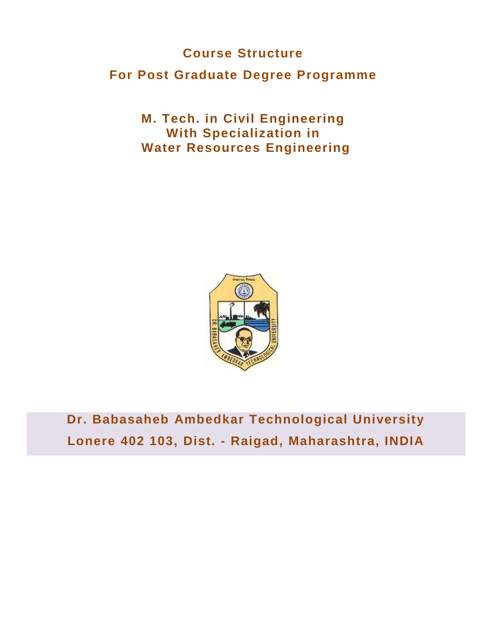# **Course Structure**

# **For Post Graduate Degree Programme**

**M. Tech. in Civil Engineering With Specialization in Water Resources Engineering**



**Dr. Babasaheb Ambedkar Technological University Lonere 402 103, Dist. - Raigad, Maharashtra, INDIA**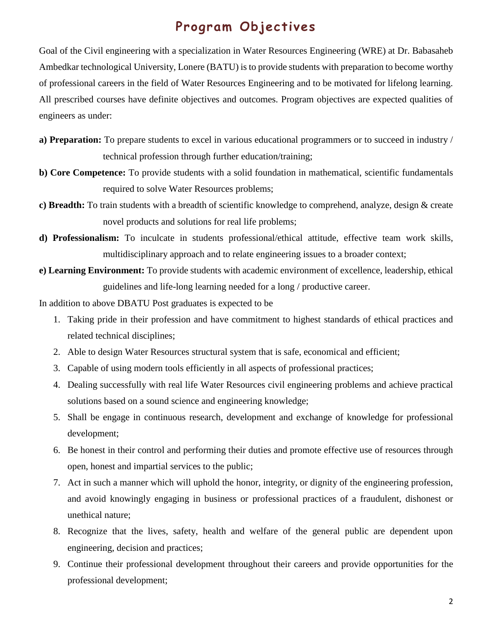# **Program Objectives**

Goal of the Civil engineering with a specialization in Water Resources Engineering (WRE) at Dr. Babasaheb Ambedkar technological University, Lonere (BATU) is to provide students with preparation to become worthy of professional careers in the field of Water Resources Engineering and to be motivated for lifelong learning. All prescribed courses have definite objectives and outcomes. Program objectives are expected qualities of engineers as under:

- **a) Preparation:** To prepare students to excel in various educational programmers or to succeed in industry / technical profession through further education/training;
- **b) Core Competence:** To provide students with a solid foundation in mathematical, scientific fundamentals required to solve Water Resources problems;
- **c) Breadth:** To train students with a breadth of scientific knowledge to comprehend, analyze, design & create novel products and solutions for real life problems;
- **d) Professionalism:** To inculcate in students professional/ethical attitude, effective team work skills, multidisciplinary approach and to relate engineering issues to a broader context;
- **e) Learning Environment:** To provide students with academic environment of excellence, leadership, ethical guidelines and life-long learning needed for a long / productive career.

In addition to above DBATU Post graduates is expected to be

- 1. Taking pride in their profession and have commitment to highest standards of ethical practices and related technical disciplines;
- 2. Able to design Water Resources structural system that is safe, economical and efficient;
- 3. Capable of using modern tools efficiently in all aspects of professional practices;
- 4. Dealing successfully with real life Water Resources civil engineering problems and achieve practical solutions based on a sound science and engineering knowledge;
- 5. Shall be engage in continuous research, development and exchange of knowledge for professional development;
- 6. Be honest in their control and performing their duties and promote effective use of resources through open, honest and impartial services to the public;
- 7. Act in such a manner which will uphold the honor, integrity, or dignity of the engineering profession, and avoid knowingly engaging in business or professional practices of a fraudulent, dishonest or unethical nature;
- 8. Recognize that the lives, safety, health and welfare of the general public are dependent upon engineering, decision and practices;
- 9. Continue their professional development throughout their careers and provide opportunities for the professional development;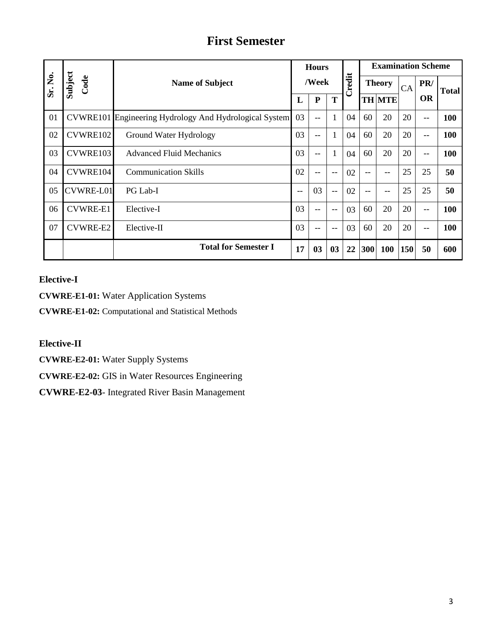# **First Semester**

|         |                 |                                                               | <b>Hours</b> |           |              | <b>Examination Scheme</b> |     |               |     |           |              |
|---------|-----------------|---------------------------------------------------------------|--------------|-----------|--------------|---------------------------|-----|---------------|-----|-----------|--------------|
| Sr. No. | Subject<br>Code | <b>Name of Subject</b>                                        |              | /Week     |              | Credit                    |     | <b>Theory</b> |     | PR/       | <b>Total</b> |
|         |                 |                                                               | L            | ${\bf P}$ | T            |                           |     | <b>TH MTE</b> |     | <b>OR</b> |              |
| 01      |                 | <b>CVWRE101</b> Engineering Hydrology And Hydrological System | 03           | $-$       | 1            | 04                        | 60  | 20            | 20  | $-$       | 100          |
| 02      | CVWRE102        | Ground Water Hydrology                                        | 03           | $-$       | $\mathbf{1}$ | 04                        | 60  | 20            | 20  | $-$       | 100          |
| 03      | CVWRE103        | <b>Advanced Fluid Mechanics</b>                               | 03           | --        | 1            | 04                        | 60  | 20            | 20  | $-$       | 100          |
| 04      | CVWRE104        | <b>Communication Skills</b>                                   | 02           | --        | $-$          | 02                        | $-$ | --            | 25  | 25        | 50           |
| 05      | CVWRE-L01       | PG Lab-I                                                      | $- -$        | 03        | $-$          | 02                        | $-$ | --            | 25  | 25        | 50           |
| 06      | <b>CVWRE-E1</b> | Elective-I                                                    | 03           | --        | $-$          | 03                        | 60  | 20            | 20  | $-$       | 100          |
| 07      | <b>CVWRE-E2</b> | Elective-II                                                   | 03           | --        | $-$          | 03                        | 60  | 20            | 20  | $-$       | 100          |
|         |                 | <b>Total for Semester I</b>                                   | 17           | 03        | 03           | 22                        | 300 | <b>100</b>    | 150 | 50        | 600          |

# **Elective-I**

**CVWRE-E1-01:** Water Application Systems

**CVWRE-E1-02:** Computational and Statistical Methods

# **Elective-II**

**CVWRE-E2-01:** Water Supply Systems

**CVWRE-E2-02:** GIS in Water Resources Engineering

**CVWRE-E2-03**- Integrated River Basin Management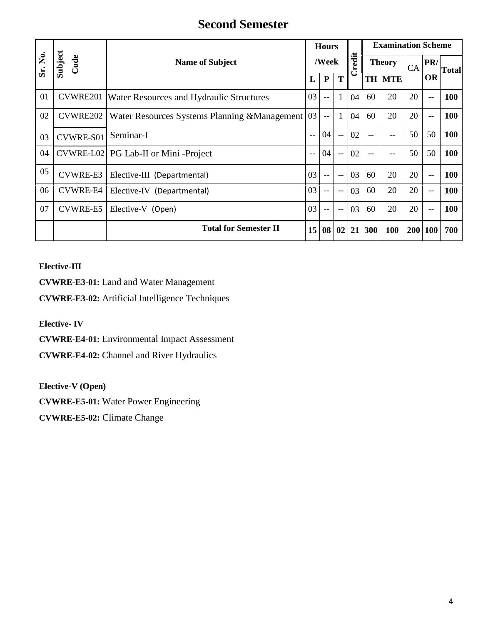# **Second Semester**

|         |                  | <b>Name of Subject</b><br>L                              |                 | <b>Hours</b><br>Credit<br>/Week |              |    |               |               | <b>Examination Scheme</b> |         |              |  |
|---------|------------------|----------------------------------------------------------|-----------------|---------------------------------|--------------|----|---------------|---------------|---------------------------|---------|--------------|--|
| Sr. No. | Subject<br>Code  |                                                          |                 |                                 |              |    | <b>Theory</b> |               | CA                        | PR/     | <b>Total</b> |  |
|         |                  |                                                          |                 | ${\bf P}$                       | T            |    |               | <b>TH MTE</b> |                           | OR      |              |  |
| 01      |                  | <b>CVWRE201</b> Water Resources and Hydraulic Structures | 03              | $-$                             | 1            | 04 | 60            | 20            | 20                        | $-$     | <b>100</b>   |  |
| 02      | CVWRE202         | Water Resources Systems Planning & Management 03         |                 | $-$                             | 1            | 04 | 60            | 20            | 20                        | --      | 100          |  |
| 03      | <b>CVWRE-S01</b> | Seminar-I                                                | $-$             | 04                              | $-$          | 02 | $-$           | $- -$         | 50                        | 50      | <b>100</b>   |  |
| 04      |                  | CVWRE-L02 PG Lab-II or Mini -Project                     | $-$             | 04                              | $-$          | 02 | $-$           | $-$           | 50                        | 50      | 100          |  |
| 05      | CVWRE-E3         | Elective-III (Departmental)                              | 03              | $-$                             | $-$          | 03 | 60            | 20            | 20                        | $-$     | <b>100</b>   |  |
| 06      | <b>CVWRE-E4</b>  | Elective-IV (Departmental)                               | 03              | $-$                             | $-$          | 03 | 60            | 20            | 20                        | --      | <b>100</b>   |  |
| 07      | <b>CVWRE-E5</b>  | Elective-V (Open)                                        | 03              | $-$                             | $-$          | 03 | 60            | 20            | 20                        | $-$     | <b>100</b>   |  |
|         |                  | <b>Total for Semester II</b>                             | 15 <sup>1</sup> | 08                              | $02 \mid 21$ |    | 300           | 100           |                           | 200 100 | 700          |  |

**Elective-III**

**CVWRE-E3-01:** Land and Water Management

**CVWRE-E3-02:** Artificial Intelligence Techniques

**Elective- IV**

**CVWRE-E4-01:** Environmental Impact Assessment

**CVWRE-E4-02:** Channel and River Hydraulics

**Elective-V (Open)**

**CVWRE-E5-01:** Water Power Engineering

**CVWRE-E5-02:** Climate Change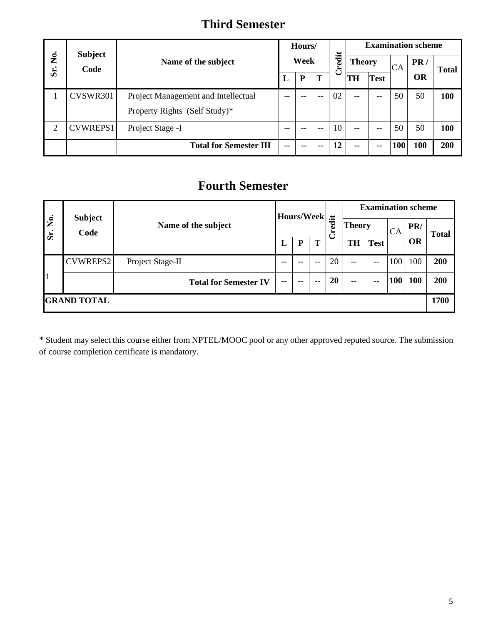# **Third Semester**

|        | <b>Subject</b>  |                                     | Hours/<br>Week |           |               | <b>Examination scheme</b> |      |       |     |           |            |
|--------|-----------------|-------------------------------------|----------------|-----------|---------------|---------------------------|------|-------|-----|-----------|------------|
| ,<br>Ž | Code            | Name of the subject                 |                |           | <b>Theory</b> |                           | edit |       |     |           | CA         |
| Sr.    |                 |                                     | ப              | ${\bf P}$ | T             | ن                         | TH   | Test  |     | <b>OR</b> |            |
|        | CVSWR301        | Project Management and Intellectual |                |           |               | 02                        | --   | --    | 50  | 50        | <b>100</b> |
|        |                 | Property Rights (Self Study)*       |                |           |               |                           |      |       |     |           |            |
| 2      | <b>CVWREPS1</b> | Project Stage -I                    | $- -$          | --        | --            | 10                        | $-$  | $- -$ | 50  | 50        | <b>100</b> |
|        |                 | <b>Total for Semester III</b>       | --             | --        | --            | 12                        | --   | --    | 100 | 100       | <b>200</b> |

# **Fourth Semester**

|                    |                        | <b>Hours/Week</b><br>Name of the subject<br>T<br>P<br>L |    | <b>Examination scheme</b> |               |        |               |               |            |           |              |
|--------------------|------------------------|---------------------------------------------------------|----|---------------------------|---------------|--------|---------------|---------------|------------|-----------|--------------|
| è,<br>Sr.          | <b>Subject</b><br>Code |                                                         |    |                           |               | Credit | <b>Theory</b> |               | CA         | PR/       | <b>Total</b> |
|                    |                        |                                                         |    |                           |               |        | TH            | <b>Test</b>   |            | <b>OR</b> |              |
|                    | CVWREPS2               | Project Stage-II                                        | -- | $-$                       | $- -$         | 20     | $-$           | --            | 100        | 100       | 200          |
|                    |                        | <b>Total for Semester IV</b>                            | -- | $\sim$ $\sim$             | $\sim$ $\sim$ | 20     | $\sim$ $\sim$ | $\sim$ $\sim$ | <b>100</b> | 100       | 200          |
| <b>GRAND TOTAL</b> |                        |                                                         |    |                           |               |        |               | 1700          |            |           |              |

\* Student may select this course either from NPTEL/MOOC pool or any other approved reputed source. The submission of course completion certificate is mandatory.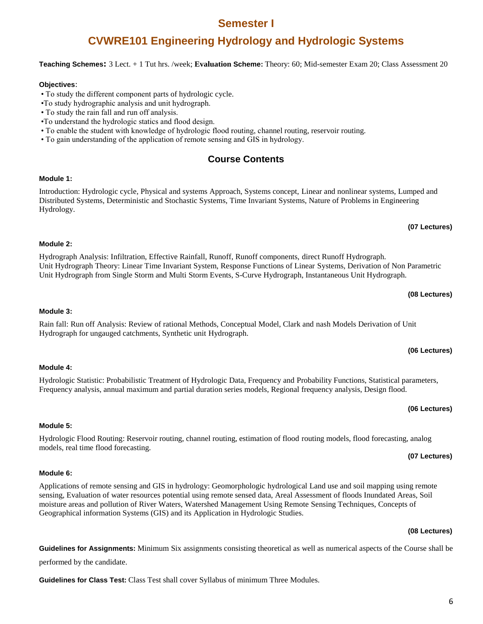# **Semester I**

# **CVWRE101 Engineering Hydrology and Hydrologic Systems**

# **Teaching Schemes:** 3 Lect. + 1 Tut hrs. /week; **Evaluation Scheme:** Theory: 60; Mid-semester Exam 20; Class Assessment 20

# **Objectives**:

• To study the different component parts of hydrologic cycle.

Hydrograph for ungauged catchments, Synthetic unit Hydrograph.

- •To study hydrographic analysis and unit hydrograph.
- To study the rain fall and run off analysis.
- •To understand the hydrologic statics and flood design.
- To enable the student with knowledge of hydrologic flood routing, channel routing, reservoir routing.
- To gain understanding of the application of remote sensing and GIS in hydrology.

# **Course Contents**

# **Module 1:**

Introduction: Hydrologic cycle, Physical and systems Approach, Systems concept, Linear and nonlinear systems, Lumped and Distributed Systems, Deterministic and Stochastic Systems, Time Invariant Systems, Nature of Problems in Engineering Hydrology.

## **Module 2:**

**Module 3:**

**Module 4:** 

Hydrograph Analysis: Infiltration, Effective Rainfall, Runoff, Runoff components, direct Runoff Hydrograph. Unit Hydrograph Theory: Linear Time Invariant System, Response Functions of Linear Systems, Derivation of Non Parametric Unit Hydrograph from Single Storm and Multi Storm Events, S-Curve Hydrograph, Instantaneous Unit Hydrograph.

Rain fall: Run off Analysis: Review of rational Methods, Conceptual Model, Clark and nash Models Derivation of Unit

Frequency analysis, annual maximum and partial duration series models, Regional frequency analysis, Design flood.

## **(08 Lectures)**

# **(06 Lectures)**

# **Module 5:**

#### Hydrologic Flood Routing: Reservoir routing, channel routing, estimation of flood routing models, flood forecasting, analog models, real time flood forecasting. **(07 Lectures)**

## **Module 6:**

Applications of remote sensing and GIS in hydrology: Geomorphologic hydrological Land use and soil mapping using remote sensing, Evaluation of water resources potential using remote sensed data, Areal Assessment of floods Inundated Areas, Soil moisture areas and pollution of River Waters, Watershed Management Using Remote Sensing Techniques, Concepts of Geographical information Systems (GIS) and its Application in Hydrologic Studies.

**Guidelines for Assignments:** Minimum Six assignments consisting theoretical as well as numerical aspects of the Course shall be performed by the candidate.

**Guidelines for Class Test:** Class Test shall cover Syllabus of minimum Three Modules.

Hydrologic Statistic: Probabilistic Treatment of Hydrologic Data, Frequency and Probability Functions, Statistical parameters,

**(06 Lectures)**

# **(07 Lectures)**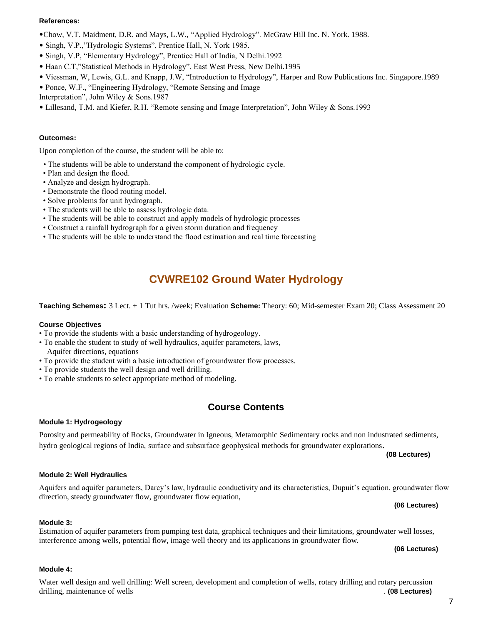### **References:**

- •Chow, V.T. Maidment, D.R. and Mays, L.W., "Applied Hydrology". McGraw Hill Inc. N. York. 1988.
- Singh, V.P.,"Hydrologic Systems", Prentice Hall, N. York 1985.
- Singh, V.P, "Elementary Hydrology", Prentice Hall of India, N Delhi.1992
- Haan C.T,"Statistical Methods in Hydrology", East West Press, New Delhi.1995
- Viessman, W, Lewis, G.L. and Knapp, J.W, "Introduction to Hydrology", Harper and Row Publications Inc. Singapore.1989
- Ponce, W.F., "Engineering Hydrology, "Remote Sensing and Image
- Interpretation", John Wiley & Sons.1987
- Lillesand, T.M. and Kiefer, R.H. "Remote sensing and Image Interpretation", John Wiley & Sons.1993

### **Outcomes:**

Upon completion of the course, the student will be able to:

- The students will be able to understand the component of hydrologic cycle.
- Plan and design the flood.
- Analyze and design hydrograph.
- Demonstrate the flood routing model.
- Solve problems for unit hydrograph.
- The students will be able to assess hydrologic data.
- The students will be able to construct and apply models of hydrologic processes
- Construct a rainfall hydrograph for a given storm duration and frequency
- The students will be able to understand the flood estimation and real time forecasting

# **CVWRE102 Ground Water Hydrology**

**Teaching Schemes:** 3 Lect. + 1 Tut hrs. /week; Evaluation **Scheme:** Theory: 60; Mid-semester Exam 20; Class Assessment 20

#### **Course Objectives**

- To provide the students with a basic understanding of hydrogeology.
- To enable the student to study of well hydraulics, aquifer parameters, laws, Aquifer directions, equations
- To provide the student with a basic introduction of groundwater flow processes.
- To provide students the well design and well drilling.
- To enable students to select appropriate method of modeling.

# **Course Contents**

#### **Module 1: Hydrogeology**

Porosity and permeability of Rocks, Groundwater in Igneous, Metamorphic Sedimentary rocks and non industrated sediments, hydro geological regions of India, surface and subsurface geophysical methods for groundwater explorations.

**(08 Lectures)**

#### **Module 2: Well Hydraulics**

#### Aquifers and aquifer parameters, Darcy's law, hydraulic conductivity and its characteristics, Dupuit's equation, groundwater flow direction, steady groundwater flow, groundwater flow equation,

# **(06 Lectures)**

#### **Module 3:**

Estimation of aquifer parameters from pumping test data, graphical techniques and their limitations, groundwater well losses, interference among wells, potential flow, image well theory and its applications in groundwater flow.

**(06 Lectures)**

### **Module 4:**

Water well design and well drilling: Well screen, development and completion of wells, rotary drilling and rotary percussion drilling, maintenance of wells . **(08 Lectures)**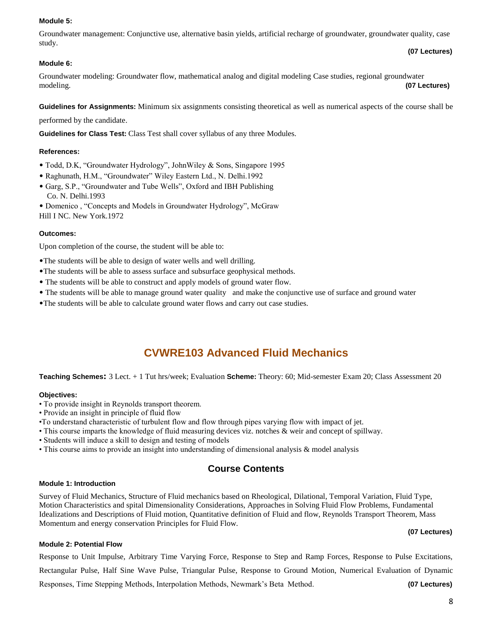## **Module 5:**

Groundwater management: Conjunctive use, alternative basin yields, artificial recharge of groundwater, groundwater quality, case study.

## **Module 6:**

Groundwater modeling: Groundwater flow, mathematical analog and digital modeling Case studies, regional groundwater modeling. **(07 Lectures)**

**Guidelines for Assignments:** Minimum six assignments consisting theoretical as well as numerical aspects of the course shall be

performed by the candidate.

**Guidelines for Class Test:** Class Test shall cover syllabus of any three Modules.

## **References:**

- Todd, D.K, "Groundwater Hydrology", JohnWiley & Sons, Singapore 1995
- Raghunath, H.M., "Groundwater" Wiley Eastern Ltd., N. Delhi.1992
- Garg, S.P., "Groundwater and Tube Wells", Oxford and IBH Publishing Co. N. Delhi.1993
- Domenico , "Concepts and Models in Groundwater Hydrology", McGraw Hill I NC. New York.1972

## **Outcomes:**

Upon completion of the course, the student will be able to:

- •The students will be able to design of water wells and well drilling.
- •The students will be able to assess surface and subsurface geophysical methods.
- The students will be able to construct and apply models of ground water flow.
- The students will be able to manage ground water quality and make the conjunctive use of surface and ground water
- •The students will be able to calculate ground water flows and carry out case studies.

# **CVWRE103 Advanced Fluid Mechanics**

**Teaching Schemes:** 3 Lect. + 1 Tut hrs/week; Evaluation **Scheme:** Theory: 60; Mid-semester Exam 20; Class Assessment 20

## **Objectives:**

- To provide insight in Reynolds transport theorem.
- Provide an insight in principle of fluid flow
- •To understand characteristic of turbulent flow and flow through pipes varying flow with impact of jet.
- This course imparts the knowledge of fluid measuring devices viz. notches & weir and concept of spillway.
- Students will induce a skill to design and testing of models
- This course aims to provide an insight into understanding of dimensional analysis & model analysis

# **Course Contents**

### **Module 1: Introduction**

Survey of Fluid Mechanics, Structure of Fluid mechanics based on Rheological, Dilational, Temporal Variation, Fluid Type, Motion Characteristics and spital Dimensionality Considerations, Approaches in Solving Fluid Flow Problems, Fundamental Idealizations and Descriptions of Fluid motion, Quantitative definition of Fluid and flow, Reynolds Transport Theorem, Mass Momentum and energy conservation Principles for Fluid Flow.

## **(07 Lectures)**

**(07 Lectures)**

## **Module 2: Potential Flow**

Response to Unit Impulse, Arbitrary Time Varying Force, Response to Step and Ramp Forces, Response to Pulse Excitations, Rectangular Pulse, Half Sine Wave Pulse, Triangular Pulse, Response to Ground Motion, Numerical Evaluation of Dynamic Responses, Time Stepping Methods, Interpolation Methods, Newmark's Beta Method. **(07 Lectures)**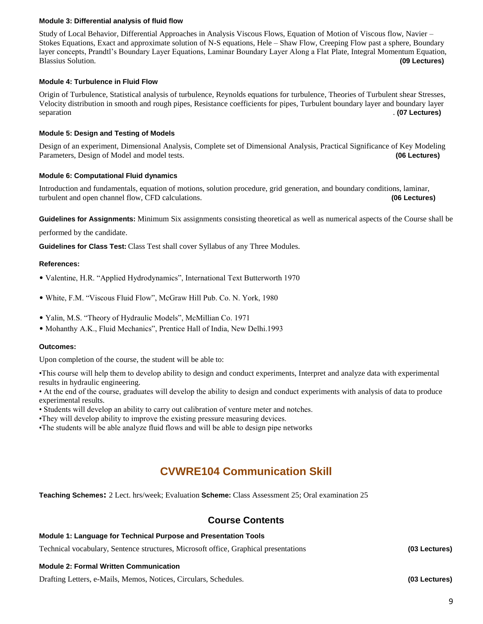## **Module 3: Differential analysis of fluid flow**

Study of Local Behavior, Differential Approaches in Analysis Viscous Flows, Equation of Motion of Viscous flow, Navier – Stokes Equations, Exact and approximate solution of N-S equations, Hele – Shaw Flow, Creeping Flow past a sphere, Boundary layer concepts, Prandtl's Boundary Layer Equations, Laminar Boundary Layer Along a Flat Plate, Integral Momentum Equation, Blassius Solution. **(09 Lectures)**

## **Module 4: Turbulence in Fluid Flow**

Origin of Turbulence, Statistical analysis of turbulence, Reynolds equations for turbulence, Theories of Turbulent shear Stresses, Velocity distribution in smooth and rough pipes, Resistance coefficients for pipes, Turbulent boundary layer and boundary layer separation . **(07 Lectures)**

## **Module 5: Design and Testing of Models**

Design of an experiment, Dimensional Analysis, Complete set of Dimensional Analysis, Practical Significance of Key Modeling Parameters, Design of Model and model tests. **(06 Lectures)**

## **Module 6: Computational Fluid dynamics**

Introduction and fundamentals, equation of motions, solution procedure, grid generation, and boundary conditions, laminar, turbulent and open channel flow, CFD calculations. **(06 Lectures)**

**Guidelines for Assignments:** Minimum Six assignments consisting theoretical as well as numerical aspects of the Course shall be

performed by the candidate.

**Guidelines for Class Test:** Class Test shall cover Syllabus of any Three Modules.

### **References:**

- Valentine, H.R. "Applied Hydrodynamics", International Text Butterworth 1970
- White, F.M. "Viscous Fluid Flow", McGraw Hill Pub. Co. N. York, 1980
- Yalin, M.S. "Theory of Hydraulic Models", McMillian Co. 1971
- Mohanthy A.K., Fluid Mechanics", Prentice Hall of India, New Delhi.1993

### **Outcomes:**

Upon completion of the course, the student will be able to:

•This course will help them to develop ability to design and conduct experiments, Interpret and analyze data with experimental results in hydraulic engineering.

• At the end of the course, graduates will develop the ability to design and conduct experiments with analysis of data to produce experimental results.

- Students will develop an ability to carry out calibration of venture meter and notches.
- •They will develop ability to improve the existing pressure measuring devices.
- •The students will be able analyze fluid flows and will be able to design pipe networks

# **CVWRE104 Communication Skill**

**Teaching Schemes:** 2 Lect. hrs/week; Evaluation **Scheme:** Class Assessment 25; Oral examination 25

# **Course Contents**

#### **Module 1: Language for Technical Purpose and Presentation Tools**

Technical vocabulary, Sentence structures, Microsoft office, Graphical presentations **(03 Lectures)**

### **Module 2: Formal Written Communication**

Drafting Letters, e-Mails, Memos, Notices, Circulars, Schedules. **(03 Lectures)**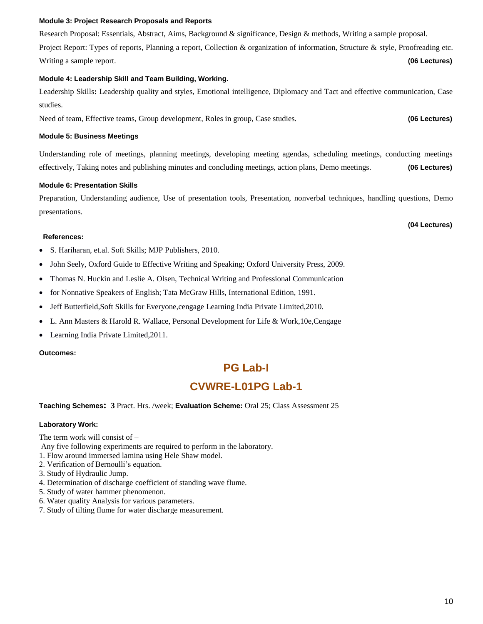### **Module 3: Project Research Proposals and Reports**

Research Proposal: Essentials, Abstract, Aims, Background & significance, Design & methods, Writing a sample proposal. Project Report: Types of reports, Planning a report, Collection & organization of information, Structure & style, Proofreading etc. Writing a sample report. **(06 Lectures) (06 Lectures) (06 Lectures)** 

## **Module 4: Leadership Skill and Team Building, Working.**

Leadership Skills**:** Leadership quality and styles, Emotional intelligence, Diplomacy and Tact and effective communication, Case studies.

Need of team, Effective teams, Group development, Roles in group, Case studies. **(06 Lectures)**

### **Module 5: Business Meetings**

Understanding role of meetings, planning meetings, developing meeting agendas, scheduling meetings, conducting meetings effectively, Taking notes and publishing minutes and concluding meetings, action plans, Demo meetings. **(06 Lectures)**

#### **Module 6: Presentation Skills**

Preparation, Understanding audience, Use of presentation tools, Presentation, nonverbal techniques, handling questions, Demo presentations.

**(04 Lectures)**

#### **References:**

- S. Hariharan, et.al. Soft Skills; MJP Publishers, 2010.
- John Seely, Oxford Guide to Effective Writing and Speaking; Oxford University Press, 2009.
- Thomas N. Huckin and Leslie A. Olsen, Technical Writing and Professional Communication
- for Nonnative Speakers of English; Tata McGraw Hills, International Edition, 1991.
- Jeff Butterfield, Soft Skills for Everyone, cengage Learning India Private Limited, 2010.
- L. Ann Masters & Harold R. Wallace, Personal Development for Life & Work,10e,Cengage
- Learning India Private Limited, 2011.

### **Outcomes:**

# **PG Lab-I**

# **CVWRE-L01PG Lab-1**

### **Teaching Schemes: 3** Pract. Hrs. /week; **Evaluation Scheme:** Oral 25; Class Assessment 25

### **Laboratory Work:**

The term work will consist of –

Any five following experiments are required to perform in the laboratory.

- 1. Flow around immersed lamina using Hele Shaw model.
- 2. Verification of Bernoulli's equation.
- 3. Study of Hydraulic Jump.
- 4. Determination of discharge coefficient of standing wave flume.
- 5. Study of water hammer phenomenon.
- 6. Water quality Analysis for various parameters.
- 7. Study of tilting flume for water discharge measurement.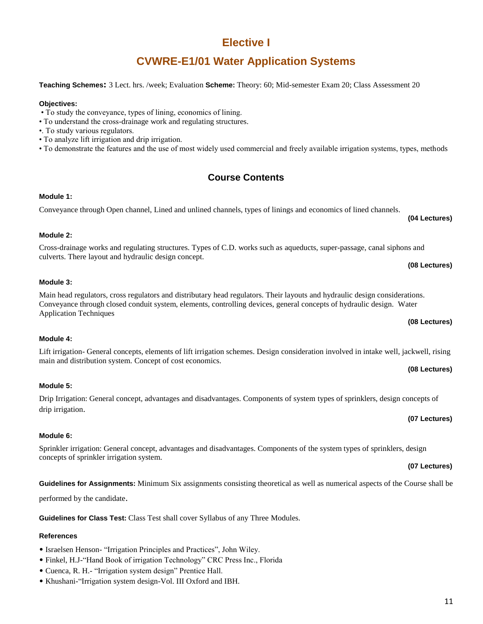# **Elective I**

# **CVWRE-E1/01 Water Application Systems**

**Teaching Schemes:** 3 Lect. hrs. /week; Evaluation **Scheme:** Theory: 60; Mid-semester Exam 20; Class Assessment 20

# **Objectives:**

- To study the conveyance, types of lining, economics of lining.
- To understand the cross-drainage work and regulating structures.
- •. To study various regulators.
- To analyze lift irrigation and drip irrigation.
- To demonstrate the features and the use of most widely used commercial and freely available irrigation systems, types, methods

# **Course Contents**

# **Module 1:**

# Conveyance through Open channel, Lined and unlined channels, types of linings and economics of lined channels.

# **Module 2:**

# Cross-drainage works and regulating structures. Types of C.D. works such as aqueducts, super-passage, canal siphons and culverts. There layout and hydraulic design concept.

# **Module 3:**

Main head regulators, cross regulators and distributary head regulators. Their layouts and hydraulic design considerations. Conveyance through closed conduit system, elements, controlling devices, general concepts of hydraulic design. Water Application Techniques

# **Module 4:**

#### Lift irrigation- General concepts, elements of lift irrigation schemes. Design consideration involved in intake well, jackwell, rising main and distribution system. Concept of cost economics. **(08 Lectures)**

# **Module 5:**

# Drip Irrigation: General concept, advantages and disadvantages. Components of system types of sprinklers, design concepts of drip irrigation.

# **Module 6:**

Sprinkler irrigation: General concept, advantages and disadvantages. Components of the system types of sprinklers, design concepts of sprinkler irrigation system.

**Guidelines for Assignments:** Minimum Six assignments consisting theoretical as well as numerical aspects of the Course shall be

performed by the candidate.

**Guidelines for Class Test:** Class Test shall cover Syllabus of any Three Modules.

# **References**

- Israelsen Henson- "Irrigation Principles and Practices", John Wiley.
- Finkel, H.J-"Hand Book of irrigation Technology" CRC Press Inc., Florida
- Cuenca, R. H.- "Irrigation system design" Prentice Hall.
- Khushani-"Irrigation system design-Vol. III Oxford and IBH.

## **(08 Lectures)**

**(07 Lectures)**

## **(07 Lectures)**

# **(08 Lectures)**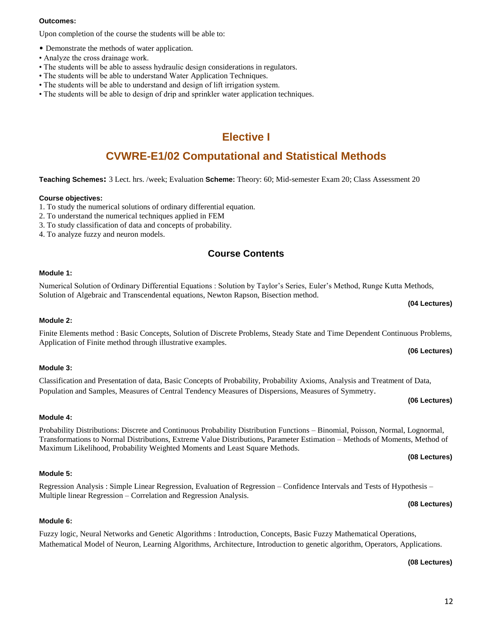# 12

### **Outcomes:**

Upon completion of the course the students will be able to:

- Demonstrate the methods of water application.
- Analyze the cross drainage work.
- The students will be able to assess hydraulic design considerations in regulators.
- The students will be able to understand Water Application Techniques.
- The students will be able to understand and design of lift irrigation system.
- The students will be able to design of drip and sprinkler water application techniques.

# **Elective I**

# **CVWRE-E1/02 Computational and Statistical Methods**

**Teaching Schemes:** 3 Lect. hrs. /week; Evaluation **Scheme:** Theory: 60; Mid-semester Exam 20; Class Assessment 20

## **Course objectives:**

- 1. To study the numerical solutions of ordinary differential equation.
- 2. To understand the numerical techniques applied in FEM
- 3. To study classification of data and concepts of probability.
- 4. To analyze fuzzy and neuron models.

# **Course Contents**

## **Module 1:**

Numerical Solution of Ordinary Differential Equations : Solution by Taylor's Series, Euler's Method, Runge Kutta Methods, Solution of Algebraic and Transcendental equations, Newton Rapson, Bisection method.

## **Module 2:**

# Finite Elements method : Basic Concepts, Solution of Discrete Problems, Steady State and Time Dependent Continuous Problems, Application of Finite method through illustrative examples.

## **Module 3:**

# Classification and Presentation of data, Basic Concepts of Probability, Probability Axioms, Analysis and Treatment of Data, Population and Samples, Measures of Central Tendency Measures of Dispersions, Measures of Symmetry.

## **Module 4:**

# Probability Distributions: Discrete and Continuous Probability Distribution Functions – Binomial, Poisson, Normal, Lognormal, Transformations to Normal Distributions, Extreme Value Distributions, Parameter Estimation – Methods of Moments, Method of Maximum Likelihood, Probability Weighted Moments and Least Square Methods.

# **Module 5:**

**Module 6:**

#### Regression Analysis : Simple Linear Regression, Evaluation of Regression – Confidence Intervals and Tests of Hypothesis – Multiple linear Regression – Correlation and Regression Analysis. **(08 Lectures)**

Fuzzy logic, Neural Networks and Genetic Algorithms : Introduction, Concepts, Basic Fuzzy Mathematical Operations, Mathematical Model of Neuron, Learning Algorithms, Architecture, Introduction to genetic algorithm, Operators, Applications.

# **(08 Lectures)**

# **(06 Lectures)**

# **(08 Lectures)**

**(04 Lectures)**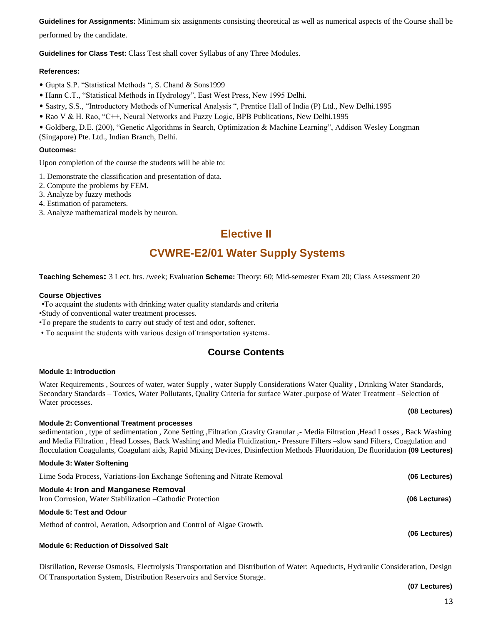**Guidelines for Assignments:** Minimum six assignments consisting theoretical as well as numerical aspects of the Course shall be performed by the candidate.

**Guidelines for Class Test:** Class Test shall cover Syllabus of any Three Modules.

## **References:**

- Gupta S.P. "Statistical Methods ", S. Chand & Sons1999
- Hann C.T., "Statistical Methods in Hydrology", East West Press, New 1995 Delhi.
- Sastry, S.S., "Introductory Methods of Numerical Analysis ", Prentice Hall of India (P) Ltd., New Delhi.1995
- Rao V & H. Rao, "C++, Neural Networks and Fuzzy Logic, BPB Publications, New Delhi.1995
- Goldberg, D.E. (200), "Genetic Algorithms in Search, Optimization & Machine Learning", Addison Wesley Longman (Singapore) Pte. Ltd., Indian Branch, Delhi.

## **Outcomes:**

Upon completion of the course the students will be able to:

1. Demonstrate the classification and presentation of data.

- 2. Compute the problems by FEM.
- 3. Analyze by fuzzy methods
- 4. Estimation of parameters.
- 3. Analyze mathematical models by neuron.

# **Elective II**

# **CVWRE-E2/01 Water Supply Systems**

**Teaching Schemes:** 3 Lect. hrs. /week; Evaluation **Scheme:** Theory: 60; Mid-semester Exam 20; Class Assessment 20

### **Course Objectives**

•To acquaint the students with drinking water quality standards and criteria

•Study of conventional water treatment processes.

•To prepare the students to carry out study of test and odor, softener.

• To acquaint the students with various design of transportation systems.

# **Course Contents**

### **Module 1: Introduction**

Water Requirements , Sources of water, water Supply , water Supply Considerations Water Quality , Drinking Water Standards, Secondary Standards – Toxics, Water Pollutants, Quality Criteria for surface Water ,purpose of Water Treatment –Selection of Water processes.

### **Module 2: Conventional Treatment processes**

sedimentation , type of sedimentation , Zone Setting ,Filtration ,Gravity Granular ,- Media Filtration ,Head Losses , Back Washing and Media Filtration , Head Losses, Back Washing and Media Fluidization,- Pressure Filters –slow sand Filters, Coagulation and flocculation Coagulants, Coagulant aids, Rapid Mixing Devices, Disinfection Methods Fluoridation, De fluoridation **(09 Lectures)**

## **Module 3: Water Softening**

| Lime Soda Process, Variations-Ion Exchange Softening and Nitrate Removal                                 | (06 Lectures) |
|----------------------------------------------------------------------------------------------------------|---------------|
| <b>Module 4: Iron and Manganese Removal</b><br>Iron Corrosion, Water Stabilization – Cathodic Protection | (06 Lectures) |
| <b>Module 5: Test and Odour</b>                                                                          |               |
| Method of control, Aeration, Adsorption and Control of Algae Growth.                                     |               |

**Module 6: Reduction of Dissolved Salt**

Distillation, Reverse Osmosis, Electrolysis Transportation and Distribution of Water: Aqueducts, Hydraulic Consideration, Design Of Transportation System, Distribution Reservoirs and Service Storage.

**(07 Lectures)**

**(06 Lectures)**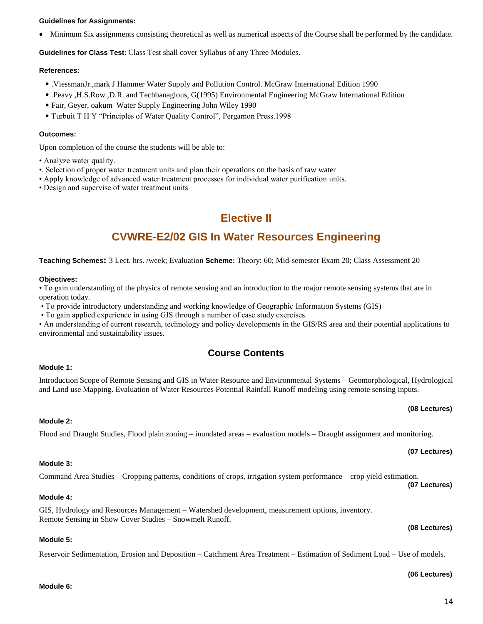## **Guidelines for Assignments:**

Minimum Six assignments consisting theoretical as well as numerical aspects of the Course shall be performed by the candidate.

**Guidelines for Class Test:** Class Test shall cover Syllabus of any Three Modules.

#### **References:**

- .ViessmanJr.,mark J Hammer Water Supply and Pollution Control. McGraw International Edition 1990
- .Peavy ,H.S.Row ,D.R. and Techbanaglous, G(1995) Environmental Engineering McGraw International Edition
- Fair, Geyer, oakum Water Supply Engineering John Wiley 1990
- Turbuit T H Y "Principles of Water Quality Control", Pergamon Press.1998

#### **Outcomes:**

Upon completion of the course the students will be able to:

- Analyze water quality.
- •. Selection of proper water treatment units and plan their operations on the basis of raw water
- Apply knowledge of advanced water treatment processes for individual water purification units.
- Design and supervise of water treatment units

# **Elective II**

# **CVWRE-E2/02 GIS In Water Resources Engineering**

#### **Teaching Schemes:** 3 Lect. hrs. /week; Evaluation **Scheme:** Theory: 60; Mid-semester Exam 20; Class Assessment 20

#### **Objectives:**

• To gain understanding of the physics of remote sensing and an introduction to the major remote sensing systems that are in operation today.

- To provide introductory understanding and working knowledge of Geographic Information Systems (GIS)
- To gain applied experience in using GIS through a number of case study exercises.

• An understanding of current research, technology and policy developments in the GIS/RS area and their potential applications to environmental and sustainability issues.

# **Course Contents**

### **Module 1:**

Introduction Scope of Remote Sensing and GIS in Water Resource and Environmental Systems – Geomorphological, Hydrological and Land use Mapping. Evaluation of Water Resources Potential Rainfall Runoff modeling using remote sensing inputs.

### **Module 2:**

# Flood and Draught Studies, Flood plain zoning – inundated areas – evaluation models – Draught assignment and monitoring.

# **Module 3:**

# Command Area Studies – Cropping patterns, conditions of crops, irrigation system performance – crop yield estimation.

# **Module 4:**

GIS, Hydrology and Resources Management – Watershed development, measurement options, inventory. Remote Sensing in Show Cover Studies – Snowmelt Runoff.

### **Module 5:**

**Module 6:** 

Reservoir Sedimentation, Erosion and Deposition – Catchment Area Treatment – Estimation of Sediment Load – Use of models.

**(07 Lectures)**

### **(08 Lectures)**

# **(08 Lectures)**

# **(07 Lectures)**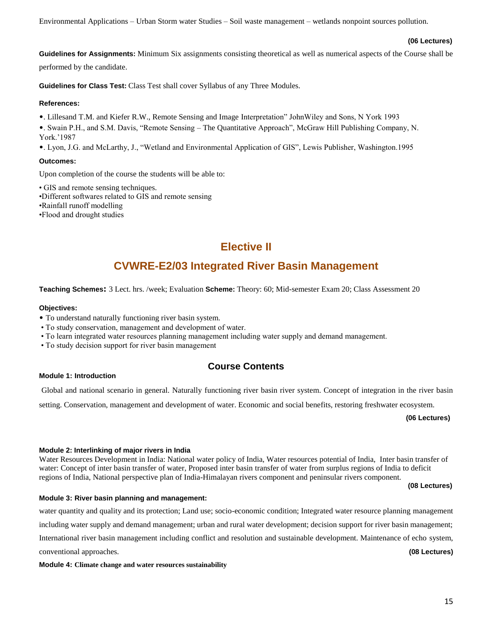Environmental Applications – Urban Storm water Studies – Soil waste management – wetlands nonpoint sources pollution.

### **(06 Lectures)**

**Guidelines for Assignments:** Minimum Six assignments consisting theoretical as well as numerical aspects of the Course shall be performed by the candidate.

**Guidelines for Class Test:** Class Test shall cover Syllabus of any Three Modules.

### **References:**

•. Lillesand T.M. and Kiefer R.W., Remote Sensing and Image Interpretation" JohnWiley and Sons, N York 1993

•. Swain P.H., and S.M. Davis, "Remote Sensing – The Quantitative Approach", McGraw Hill Publishing Company, N. York.'1987

•. Lyon, J.G. and McLarthy, J., "Wetland and Environmental Application of GIS", Lewis Publisher, Washington.1995

## **Outcomes:**

Upon completion of the course the students will be able to:

• GIS and remote sensing techniques. •Different softwares related to GIS and remote sensing •Rainfall runoff modelling

•Flood and drought studies

# **Elective II**

# **CVWRE-E2/03 Integrated River Basin Management**

**Teaching Schemes:** 3 Lect. hrs. /week; Evaluation **Scheme:** Theory: 60; Mid-semester Exam 20; Class Assessment 20

## **Objectives:**

- To understand naturally functioning river basin system.
- To study conservation, management and development of water.
- To learn integrated water resources planning management including water supply and demand management.
- To study decision support for river basin management

# **Course Contents**

**Module 1: Introduction**

Global and national scenario in general. Naturally functioning river basin river system. Concept of integration in the river basin

setting. Conservation, management and development of water. Economic and social benefits, restoring freshwater ecosystem.

**(06 Lectures)**

## **Module 2: Interlinking of major rivers in India**

Water Resources Development in India: National water policy of India, Water resources potential of India, Inter basin transfer of water: Concept of inter basin transfer of water, Proposed inter basin transfer of water from surplus regions of India to deficit regions of India, National perspective plan of India-Himalayan rivers component and peninsular rivers component.

**(08 Lectures)**

## **Module 3: River basin planning and management:**

water quantity and quality and its protection; Land use; socio-economic condition; Integrated water resource planning management

including water supply and demand management; urban and rural water development; decision support for river basin management;

International river basin management including conflict and resolution and sustainable development. Maintenance of echo system,

conventional approaches. **(08 Lectures)**

**Module 4: Climate change and water resources sustainability**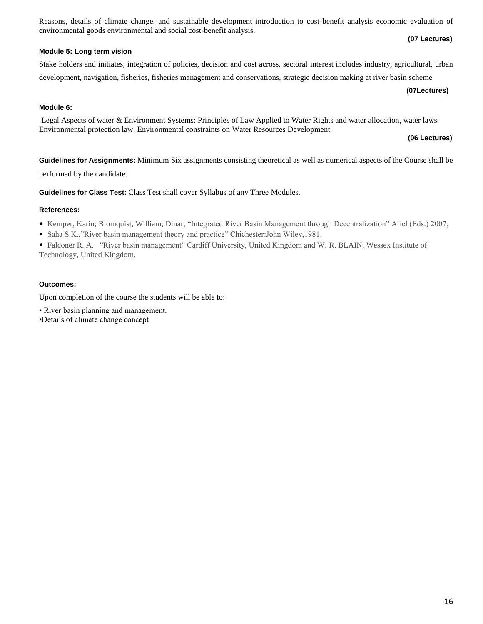Reasons, details of climate change, and sustainable development introduction to cost-benefit analysis economic evaluation of environmental goods environmental and social cost-benefit analysis. **(07 Lectures)**

# **Module 5: Long term vision**

# Stake holders and initiates, integration of policies, decision and cost across, sectoral interest includes industry, agricultural, urban

development, navigation, fisheries, fisheries management and conservations, strategic decision making at river basin scheme

# **(07Lectures)**

# **Module 6:**

Legal Aspects of water & Environment Systems: Principles of Law Applied to Water Rights and water allocation, water laws. Environmental protection law. Environmental constraints on Water Resources Development.

# **(06 Lectures)**

**Guidelines for Assignments:** Minimum Six assignments consisting theoretical as well as numerical aspects of the Course shall be performed by the candidate.

**Guidelines for Class Test:** Class Test shall cover Syllabus of any Three Modules.

# **References:**

- Kemper, Karin; Blomquist, William; Dinar, "Integrated River Basin Management through Decentralization" Ariel (Eds.) 2007,
- Saha S.K.,"River basin management theory and practice" Chichester:John Wiley,1981.

• Falconer R. A. "River basin management" Cardiff University, United Kingdom and W. R. BLAIN, Wessex Institute of Technology, United Kingdom.

# **Outcomes:**

Upon completion of the course the students will be able to:

- River basin planning and management.
- •Details of climate change concept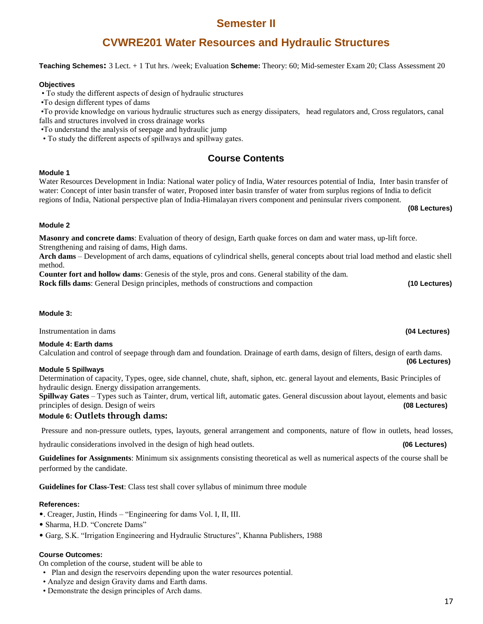# **Semester II**

# **CVWRE201 Water Resources and Hydraulic Structures**

## **Teaching Schemes:** 3 Lect. + 1 Tut hrs. /week; Evaluation **Scheme:** Theory: 60; Mid-semester Exam 20; Class Assessment 20

## **Objectives**

• To study the different aspects of design of hydraulic structures

•To design different types of dams

•To provide knowledge on various hydraulic structures such as energy dissipaters, head regulators and, Cross regulators, canal falls and structures involved in cross drainage works

•To understand the analysis of seepage and hydraulic jump

• To study the different aspects of spillways and spillway gates.

# **Course Contents**

## **Module 1**

Water Resources Development in India: National water policy of India, Water resources potential of India, Inter basin transfer of water: Concept of inter basin transfer of water, Proposed inter basin transfer of water from surplus regions of India to deficit regions of India, National perspective plan of India-Himalayan rivers component and peninsular rivers component.

**(08 Lectures)**

## **Module 2**

**Masonry and concrete dams**: Evaluation of theory of design, Earth quake forces on dam and water mass, up-lift force. Strengthening and raising of dams, High dams.

**Arch dams** – Development of arch dams, equations of cylindrical shells, general concepts about trial load method and elastic shell method.

**Counter fort and hollow dams**: Genesis of the style, pros and cons. General stability of the dam.

**Rock fills dams**: General Design principles, methods of constructions and compaction **(10 Lectures)**

## **Module 3:**

Instrumentation in dams **(04 Lectures)**

## **Module 4: Earth dams**

Calculation and control of seepage through dam and foundation. Drainage of earth dams, design of filters, design of earth dams. **(06 Lectures)**

## **Module 5 Spillways**

Determination of capacity, Types, ogee, side channel, chute, shaft, siphon, etc. general layout and elements, Basic Principles of hydraulic design. Energy dissipation arrangements.

**Spillway Gates** – Types such as Tainter, drum, vertical lift, automatic gates. General discussion about layout, elements and basic principles of design. Design of weirs **(08 Lectures)**

## **Module 6: Outlets through dams:**

Pressure and non-pressure outlets, types, layouts, general arrangement and components, nature of flow in outlets, head losses,

hydraulic considerations involved in the design of high head outlets. **(06 Lectures)**

**Guidelines for Assignments**: Minimum six assignments consisting theoretical as well as numerical aspects of the course shall be performed by the candidate.

**Guidelines for Class-Test**: Class test shall cover syllabus of minimum three module

### **References:**

- •. Creager, Justin, Hinds "Engineering for dams Vol. I, II, III.
- Sharma, H.D. "Concrete Dams"
- Garg, S.K. "Irrigation Engineering and Hydraulic Structures", Khanna Publishers, 1988

## **Course Outcomes:**

On completion of the course, student will be able to

- Plan and design the reservoirs depending upon the water resources potential.
- Analyze and design Gravity dams and Earth dams.
- Demonstrate the design principles of Arch dams.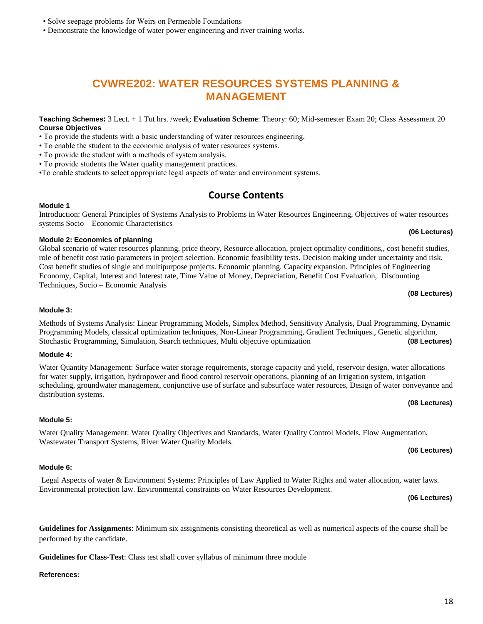# • Solve seepage problems for Weirs on Permeable Foundations

• Demonstrate the knowledge of water power engineering and river training works.

# **CVWRE202: WATER RESOURCES SYSTEMS PLANNING & MANAGEMENT**

**Teaching Schemes:** 3 Lect. + 1 Tut hrs. /week; **Evaluation Scheme**: Theory: 60; Mid-semester Exam 20; Class Assessment 20 **Course Objectives**

• To provide the students with a basic understanding of water resources engineering,

• To enable the student to the economic analysis of water resources systems.

• To provide the student with a methods of system analysis.

• To provide students the Water quality management practices.

•To enable students to select appropriate legal aspects of water and environment systems.

# **Course Contents**

#### **Module 1** Introduction: General Principles of Systems Analysis to Problems in Water Resources Engineering, Objectives of water resources

#### **(06 Lectures) Module 2: Economics of planning**

systems Socio – Economic Characteristics

Global scenario of water resources planning, price theory, Resource allocation, project optimality conditions,, cost benefit studies, role of benefit cost ratio parameters in project selection. Economic feasibility tests. Decision making under uncertainty and risk. Cost benefit studies of single and multipurpose projects. Economic planning. Capacity expansion. Principles of Engineering Economy, Capital, Interest and Interest rate, Time Value of Money, Depreciation, Benefit Cost Evaluation, Discounting Techniques, Socio – Economic Analysis

# **Module 3:**

Methods of Systems Analysis: Linear Programming Models, Simplex Method, Sensitivity Analysis, Dual Programming, Dynamic Programming Models, classical optimization techniques, Non-Linear Programming, Gradient Techniques., Genetic algorithm, Stochastic Programming, Simulation, Search techniques, Multi objective optimization **(08 Lectures)**

### **Module 4:**

Water Quantity Management: Surface water storage requirements, storage capacity and yield, reservoir design, water allocations for water supply, irrigation, hydropower and flood control reservoir operations, planning of an Irrigation system, irrigation scheduling, groundwater management, conjunctive use of surface and subsurface water resources, Design of water conveyance and distribution systems.

# **(08 Lectures)**

## **Module 5:**

# Water Quality Management: Water Quality Objectives and Standards, Water Quality Control Models, Flow Augmentation, Wastewater Transport Systems, River Water Quality Models.

## **Module 6:**

### Legal Aspects of water & Environment Systems: Principles of Law Applied to Water Rights and water allocation, water laws. Environmental protection law. Environmental constraints on Water Resources Development.

**Guidelines for Assignments**: Minimum six assignments consisting theoretical as well as numerical aspects of the course shall be

**Guidelines for Class-Test**: Class test shall cover syllabus of minimum three module

 **(06 Lectures)**

### **References:**

performed by the candidate.

# **(08 Lectures)**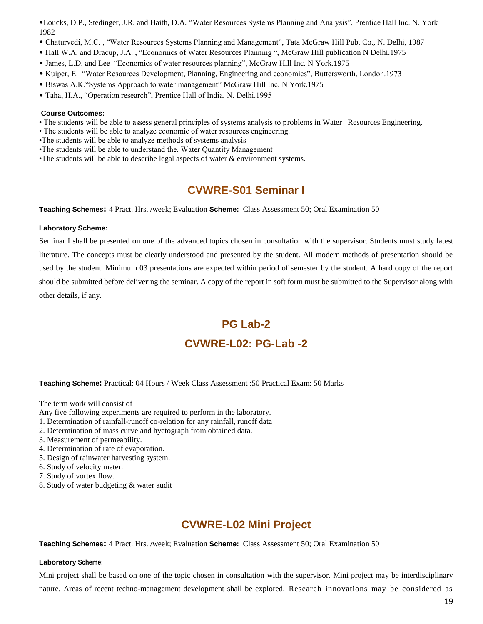•Loucks, D.P., Stedinger, J.R. and Haith, D.A. "Water Resources Systems Planning and Analysis", Prentice Hall Inc. N. York 1982

- Chaturvedi, M.C. , "Water Resources Systems Planning and Management", Tata McGraw Hill Pub. Co., N. Delhi, 1987
- Hall W.A. and Dracup, J.A. , "Economics of Water Resources Planning ", McGraw Hill publication N Delhi.1975
- James, L.D. and Lee "Economics of water resources planning", McGraw Hill Inc. N York.1975
- Kuiper, E. "Water Resources Development, Planning, Engineering and economics", Buttersworth, London.1973
- Biswas A.K."Systems Approach to water management" McGraw Hill Inc, N York.1975
- Taha, H.A., "Operation research", Prentice Hall of India, N. Delhi.1995

## **Course Outcomes:**

- The students will be able to assess general principles of systems analysis to problems in Water Resources Engineering.
- The students will be able to analyze economic of water resources engineering.
- •The students will be able to analyze methods of systems analysis
- •The students will be able to understand the. Water Quantity Management
- •The students will be able to describe legal aspects of water & environment systems.

# **CVWRE-S01 Seminar I**

**Teaching Schemes:** 4 Pract. Hrs. /week; Evaluation **Scheme:** Class Assessment 50; Oral Examination 50

## **Laboratory Scheme:**

Seminar I shall be presented on one of the advanced topics chosen in consultation with the supervisor. Students must study latest literature. The concepts must be clearly understood and presented by the student. All modern methods of presentation should be used by the student. Minimum 03 presentations are expected within period of semester by the student. A hard copy of the report should be submitted before delivering the seminar. A copy of the report in soft form must be submitted to the Supervisor along with other details, if any.

# **PG Lab-2 CVWRE-L02: PG-Lab -2**

## **Teaching Scheme:** Practical: 04 Hours / Week Class Assessment :50 Practical Exam: 50 Marks

The term work will consist of –

- Any five following experiments are required to perform in the laboratory.
- 1. Determination of rainfall-runoff co-relation for any rainfall, runoff data
- 2. Determination of mass curve and hyetograph from obtained data.
- 3. Measurement of permeability.
- 4. Determination of rate of evaporation.
- 5. Design of rainwater harvesting system.
- 6. Study of velocity meter.
- 7. Study of vortex flow.
- 8. Study of water budgeting & water audit

# **CVWRE-L02 Mini Project**

**Teaching Schemes:** 4 Pract. Hrs. /week; Evaluation **Scheme:** Class Assessment 50; Oral Examination 50

## **Laboratory Scheme:**

Mini project shall be based on one of the topic chosen in consultation with the supervisor. Mini project may be interdisciplinary nature. Areas of recent techno-management development shall be explored. Research innovations may be considered as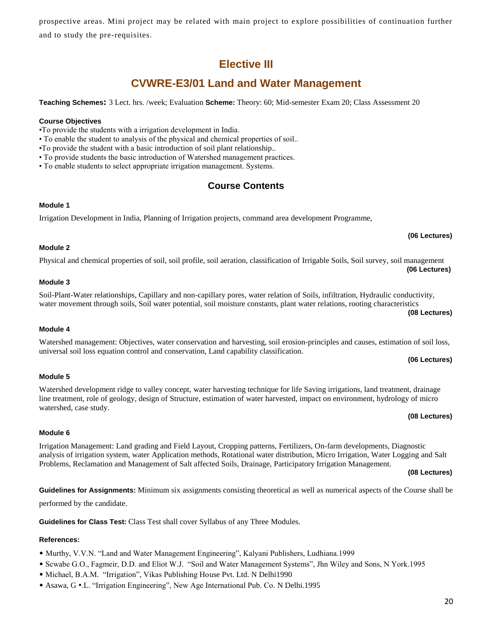prospective areas. Mini project may be related with main project to explore possibilities of continuation further and to study the pre-requisites.

# **Elective III**

# **CVWRE-E3/01 Land and Water Management**

**Teaching Schemes:** 3 Lect. hrs. /week; Evaluation **Scheme:** Theory: 60; Mid-semester Exam 20; Class Assessment 20

# **Course Objectives**

•To provide the students with a irrigation development in India.

• To enable the student to analysis of the physical and chemical properties of soil..

•To provide the student with a basic introduction of soil plant relationship..

• To provide students the basic introduction of Watershed management practices.

• To enable students to select appropriate irrigation management. Systems.

# **Course Contents**

## **Module 1**

Irrigation Development in India, Planning of Irrigation projects, command area development Programme,

# **Module 2**

# Physical and chemical properties of soil, soil profile, soil aeration, classification of Irrigable Soils, Soil survey, soil management  **(06 Lectures)**

# **Module 3**

# Soil-Plant-Water relationships, Capillary and non-capillary pores, water relation of Soils, infiltration, Hydraulic conductivity, water movement through soils, Soil water potential, soil moisture constants, plant water relations, rooting characteristics

**Module 4**

### Watershed management: Objectives, water conservation and harvesting, soil erosion-principles and causes, estimation of soil loss, universal soil loss equation control and conservation, Land capability classification. **(06 Lectures)**

# **Module 5**

# Watershed development ridge to valley concept, water harvesting technique for life Saving irrigations, land treatment, drainage line treatment, role of geology, design of Structure, estimation of water harvested, impact on environment, hydrology of micro watershed, case study.

# **Module 6**

# Irrigation Management: Land grading and Field Layout, Cropping patterns, Fertilizers, On-farm developments, Diagnostic analysis of irrigation system, water Application methods, Rotational water distribution, Micro Irrigation, Water Logging and Salt Problems, Reclamation and Management of Salt affected Soils, Drainage, Participatory Irrigation Management.

**(08 Lectures)**

**Guidelines for Assignments:** Minimum six assignments consisting theoretical as well as numerical aspects of the Course shall be

performed by the candidate.

**Guidelines for Class Test:** Class Test shall cover Syllabus of any Three Modules.

# **References:**

- Murthy, V.V.N. "Land and Water Management Engineering", Kalyani Publishers, Ludhiana.1999
- Scwabe G.O., Fagmeir, D.D. and Eliot W.J. "Soil and Water Management Systems", Jhn Wiley and Sons, N York.1995
- Michael, B.A.M. "Irrigation", Vikas Publishing House Pvt. Ltd. N Delhi1990
- Asawa, G •.L. "Irrigation Engineering", New Age International Pub. Co. N Delhi.1995

## **(06 Lectures)**

### **(08 Lectures)**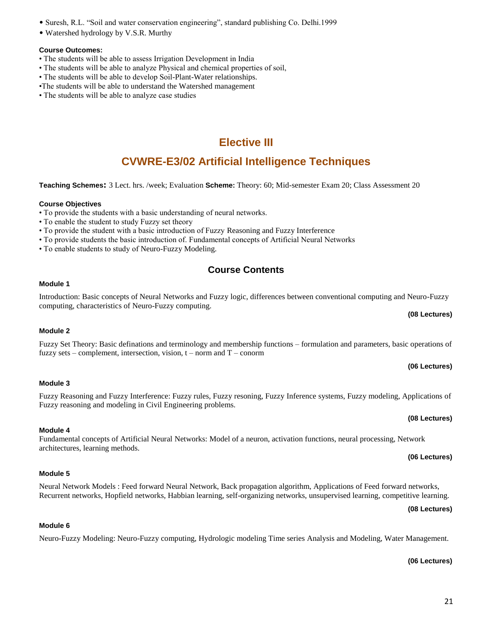# • Suresh, R.L. "Soil and water conservation engineering", standard publishing Co. Delhi.1999

• Watershed hydrology by V.S.R. Murthy

# **Course Outcomes:**

- The students will be able to assess Irrigation Development in India
- The students will be able to analyze Physical and chemical properties of soil,
- The students will be able to develop Soil-Plant-Water relationships.
- •The students will be able to understand the Watershed management
- The students will be able to analyze case studies

# **Elective III**

# **CVWRE-E3/02 Artificial Intelligence Techniques**

**Teaching Schemes:** 3 Lect. hrs. /week; Evaluation **Scheme:** Theory: 60; Mid-semester Exam 20; Class Assessment 20

# **Course Objectives**

- To provide the students with a basic understanding of neural networks.
- To enable the student to study Fuzzy set theory
- To provide the student with a basic introduction of Fuzzy Reasoning and Fuzzy Interference
- To provide students the basic introduction of. Fundamental concepts of Artificial Neural Networks
- To enable students to study of Neuro-Fuzzy Modeling.

Fuzzy reasoning and modeling in Civil Engineering problems.

# **Course Contents**

# **Module 1**

Introduction: Basic concepts of Neural Networks and Fuzzy logic, differences between conventional computing and Neuro-Fuzzy computing, characteristics of Neuro-Fuzzy computing.

# **Module 2**

**Module 3**

**Module 4** 

architectures, learning methods.

# Fuzzy Set Theory: Basic definations and terminology and membership functions – formulation and parameters, basic operations of fuzzy sets – complement, intersection, vision,  $t$  – norm and  $T$  – conorm

Fuzzy Reasoning and Fuzzy Interference: Fuzzy rules, Fuzzy resoning, Fuzzy Inference systems, Fuzzy modeling, Applications of

Fundamental concepts of Artificial Neural Networks: Model of a neuron, activation functions, neural processing, Network

**(06 Lectures)**

**(08 Lectures)**

# **(08 Lectures)**

# **(06 Lectures)**

## **Module 5**

# Neural Network Models : Feed forward Neural Network, Back propagation algorithm, Applications of Feed forward networks, Recurrent networks, Hopfield networks, Habbian learning, self-organizing networks, unsupervised learning, competitive learning.

### **(08 Lectures)**

## **Module 6**

Neuro-Fuzzy Modeling: Neuro-Fuzzy computing, Hydrologic modeling Time series Analysis and Modeling, Water Management.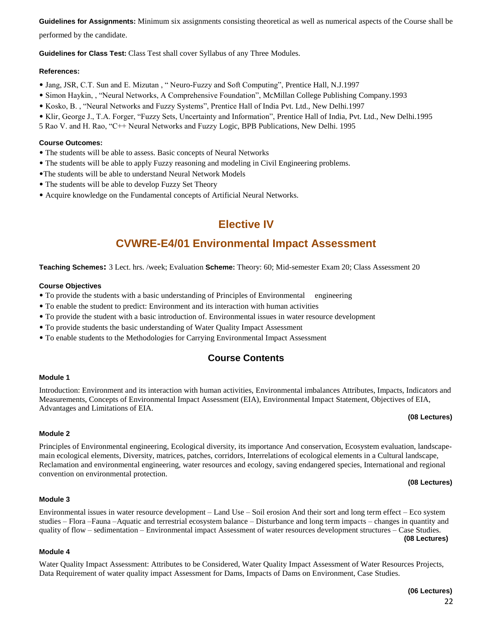**Guidelines for Assignments:** Minimum six assignments consisting theoretical as well as numerical aspects of the Course shall be

performed by the candidate.

**Guidelines for Class Test:** Class Test shall cover Syllabus of any Three Modules.

## **References:**

- Jang, JSR, C.T. Sun and E. Mizutan , " Neuro-Fuzzy and Soft Computing", Prentice Hall, N.J.1997
- Simon Haykin, , "Neural Networks, A Comprehensive Foundation", McMillan College Publishing Company.1993
- Kosko, B. , "Neural Networks and Fuzzy Systems", Prentice Hall of India Pvt. Ltd., New Delhi.1997
- Klir, George J., T.A. Forger, "Fuzzy Sets, Uncertainty and Information", Prentice Hall of India, Pvt. Ltd., New Delhi.1995
- 5 Rao V. and H. Rao, "C++ Neural Networks and Fuzzy Logic, BPB Publications, New Delhi. 1995

## **Course Outcomes:**

- The students will be able to assess. Basic concepts of Neural Networks
- The students will be able to apply Fuzzy reasoning and modeling in Civil Engineering problems.
- •The students will be able to understand Neural Network Models
- The students will be able to develop Fuzzy Set Theory
- Acquire knowledge on the Fundamental concepts of Artificial Neural Networks.

# **Elective IV**

# **CVWRE-E4/01 Environmental Impact Assessment**

**Teaching Schemes:** 3 Lect. hrs. /week; Evaluation **Scheme:** Theory: 60; Mid-semester Exam 20; Class Assessment 20

## **Course Objectives**

- To provide the students with a basic understanding of Principles of Environmental engineering
- To enable the student to predict: Environment and its interaction with human activities
- To provide the student with a basic introduction of. Environmental issues in water resource development
- To provide students the basic understanding of Water Quality Impact Assessment
- To enable students to the Methodologies for Carrying Environmental Impact Assessment

# **Course Contents**

## **Module 1**

Introduction: Environment and its interaction with human activities, Environmental imbalances Attributes, Impacts, Indicators and Measurements, Concepts of Environmental Impact Assessment (EIA), Environmental Impact Statement, Objectives of EIA, Advantages and Limitations of EIA.

### **(08 Lectures)**

# **Module 2**

Principles of Environmental engineering, Ecological diversity, its importance And conservation, Ecosystem evaluation, landscapemain ecological elements, Diversity, matrices, patches, corridors, Interrelations of ecological elements in a Cultural landscape, Reclamation and environmental engineering, water resources and ecology, saving endangered species, International and regional convention on environmental protection.

### **(08 Lectures)**

# **Module 3**

## Environmental issues in water resource development – Land Use – Soil erosion And their sort and long term effect – Eco system studies – Flora –Fauna –Aquatic and terrestrial ecosystem balance – Disturbance and long term impacts – changes in quantity and quality of flow – sedimentation – Environmental impact Assessment of water resources development structures – Case Studies. **(08 Lectures)**

## **Module 4**

Water Quality Impact Assessment: Attributes to be Considered, Water Quality Impact Assessment of Water Resources Projects, Data Requirement of water quality impact Assessment for Dams, Impacts of Dams on Environment, Case Studies.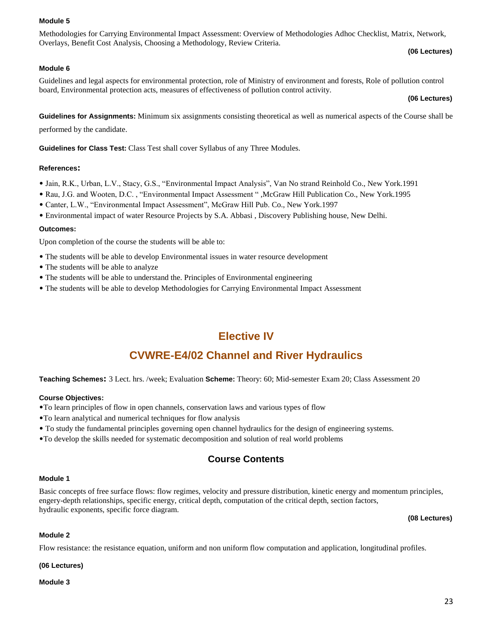## **Module 5**

Methodologies for Carrying Environmental Impact Assessment: Overview of Methodologies Adhoc Checklist, Matrix, Network, Overlays, Benefit Cost Analysis, Choosing a Methodology, Review Criteria.

### **(06 Lectures)**

### **Module 6**

Guidelines and legal aspects for environmental protection, role of Ministry of environment and forests, Role of pollution control board, Environmental protection acts, measures of effectiveness of pollution control activity.

**(06 Lectures)**

**Guidelines for Assignments:** Minimum six assignments consisting theoretical as well as numerical aspects of the Course shall be

performed by the candidate.

**Guidelines for Class Test:** Class Test shall cover Syllabus of any Three Modules.

### **References:**

- Jain, R.K., Urban, L.V., Stacy, G.S., "Environmental Impact Analysis", Van No strand Reinhold Co., New York.1991
- Rau, J.G. and Wooten, D.C. , "Environmental Impact Assessment " ,McGraw Hill Publication Co., New York.1995
- Canter, L.W., "Environmental Impact Assessment", McGraw Hill Pub. Co., New York.1997
- Environmental impact of water Resource Projects by S.A. Abbasi , Discovery Publishing house, New Delhi.

#### **Outcomes:**

Upon completion of the course the students will be able to:

- The students will be able to develop Environmental issues in water resource development
- The students will be able to analyze
- The students will be able to understand the. Principles of Environmental engineering
- The students will be able to develop Methodologies for Carrying Environmental Impact Assessment

# **Elective IV**

# **CVWRE-E4/02 Channel and River Hydraulics**

**Teaching Schemes:** 3 Lect. hrs. /week; Evaluation **Scheme:** Theory: 60; Mid-semester Exam 20; Class Assessment 20

### **Course Objectives:**

- •To learn principles of flow in open channels, conservation laws and various types of flow
- •To learn analytical and numerical techniques for flow analysis
- To study the fundamental principles governing open channel hydraulics for the design of engineering systems.
- •To develop the skills needed for systematic decomposition and solution of real world problems

# **Course Contents**

#### **Module 1**

Basic concepts of free surface flows: flow regimes, velocity and pressure distribution, kinetic energy and momentum principles, engery-depth relationships, specific energy, critical depth, computation of the critical depth, section factors, hydraulic exponents, specific force diagram.

**(08 Lectures)**

#### **Module 2**

Flow resistance: the resistance equation, uniform and non uniform flow computation and application, longitudinal profiles.

#### **(06 Lectures)**

#### **Module 3**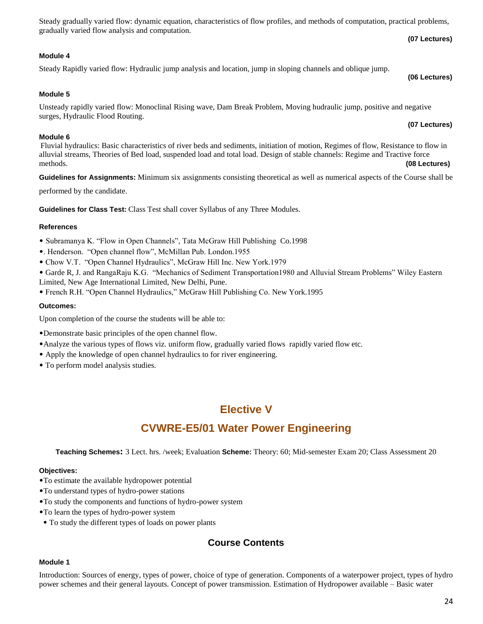|                                                 | Steady gradually varied flow: dynamic equation, characteristics of flow profiles, and methods of computation, practical problems, |
|-------------------------------------------------|-----------------------------------------------------------------------------------------------------------------------------------|
| gradually varied flow analysis and computation. |                                                                                                                                   |
|                                                 | (07 Lectures)                                                                                                                     |

# **Module 4**

# Steady Rapidly varied flow: Hydraulic jump analysis and location, jump in sloping channels and oblique jump.

# **Module 5**

Unsteady rapidly varied flow: Monoclinal Rising wave, Dam Break Problem, Moving hudraulic jump, positive and negative surges, Hydraulic Flood Routing.

# **Module 6**

Fluvial hydraulics: Basic characteristics of river beds and sediments, initiation of motion, Regimes of flow, Resistance to flow in alluvial streams, Theories of Bed load, suspended load and total load. Design of stable channels: Regime and Tractive force methods. **(08 Lectures)**

**Guidelines for Assignments:** Minimum six assignments consisting theoretical as well as numerical aspects of the Course shall be

performed by the candidate.

**Guidelines for Class Test:** Class Test shall cover Syllabus of any Three Modules.

# **References**

- Subramanya K. "Flow in Open Channels", Tata McGraw Hill Publishing Co.1998
- •. Henderson. "Open channel flow", McMillan Pub. London.1955
- Chow V.T. "Open Channel Hydraulics", McGraw Hill Inc. New York.1979
- Garde R, J. and RangaRaju K.G. "Mechanics of Sediment Transportation1980 and Alluvial Stream Problems" Wiley Eastern Limited, New Age International Limited, New Delhi, Pune.
- French R.H. "Open Channel Hydraulics," McGraw Hill Publishing Co. New York.1995

# **Outcomes:**

Upon completion of the course the students will be able to:

- •Demonstrate basic principles of the open channel flow.
- •Analyze the various types of flows viz. uniform flow, gradually varied flows rapidly varied flow etc.
- Apply the knowledge of open channel hydraulics to for river engineering.
- To perform model analysis studies.

# **Elective V**

# **CVWRE-E5/01 Water Power Engineering**

**Teaching Schemes:** 3 Lect. hrs. /week; Evaluation **Scheme:** Theory: 60; Mid-semester Exam 20; Class Assessment 20

# **Objectives:**

- •To estimate the available hydropower potential
- •To understand types of hydro-power stations
- •To study the components and functions of hydro-power system
- •To learn the types of hydro-power system
- To study the different types of loads on power plants

# **Course Contents**

# **Module 1**

Introduction: Sources of energy, types of power, choice of type of generation. Components of a waterpower project, types of hydro power schemes and their general layouts. Concept of power transmission. Estimation of Hydropower available – Basic water

## **(07 Lectures)**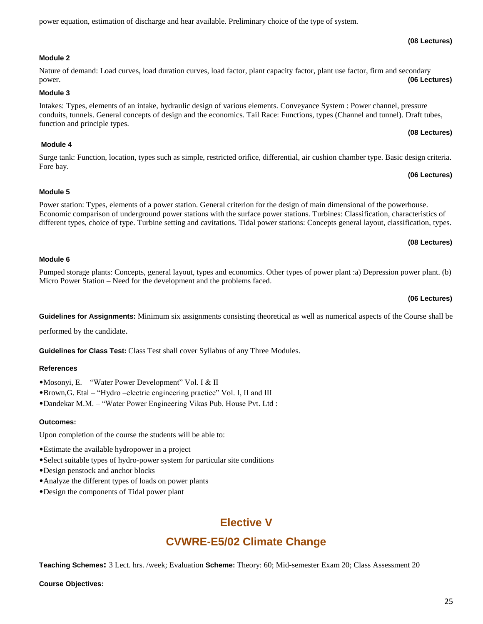## **Module 2**

### Nature of demand: Load curves, load duration curves, load factor, plant capacity factor, plant use factor, firm and secondary power. **(06 Lectures)**

**Module 3**

Intakes: Types, elements of an intake, hydraulic design of various elements. Conveyance System : Power channel, pressure conduits, tunnels. General concepts of design and the economics. Tail Race: Functions, types (Channel and tunnel). Draft tubes, function and principle types.

power equation, estimation of discharge and hear available. Preliminary choice of the type of system.

## **Module 4**

Surge tank: Function, location, types such as simple, restricted orifice, differential, air cushion chamber type. Basic design criteria. Fore bay.

## **Module 5**

Power station: Types, elements of a power station. General criterion for the design of main dimensional of the powerhouse. Economic comparison of underground power stations with the surface power stations. Turbines: Classification, characteristics of different types, choice of type. Turbine setting and cavitations. Tidal power stations: Concepts general layout, classification, types.

## **(08 Lectures)**

## **Module 6**

Pumped storage plants: Concepts, general layout, types and economics. Other types of power plant :a) Depression power plant. (b) Micro Power Station – Need for the development and the problems faced.

#### **(06 Lectures)**

**Guidelines for Assignments:** Minimum six assignments consisting theoretical as well as numerical aspects of the Course shall be

performed by the candidate.

**Guidelines for Class Test:** Class Test shall cover Syllabus of any Three Modules.

### **References**

- •Mosonyi, E. "Water Power Development" Vol. I & II
- •Brown,G. Etal "Hydro –electric engineering practice" Vol. I, II and III
- •Dandekar M.M. "Water Power Engineering Vikas Pub. House Pvt. Ltd :

### **Outcomes:**

Upon completion of the course the students will be able to:

- •Estimate the available hydropower in a project
- •Select suitable types of hydro-power system for particular site conditions
- •Design penstock and anchor blocks
- •Analyze the different types of loads on power plants
- •Design the components of Tidal power plant

# **Elective V**

# **CVWRE-E5/02 Climate Change**

**Teaching Schemes:** 3 Lect. hrs. /week; Evaluation **Scheme:** Theory: 60; Mid-semester Exam 20; Class Assessment 20

## **Course Objectives:**

**(08 Lectures)**

# **(08 Lectures)**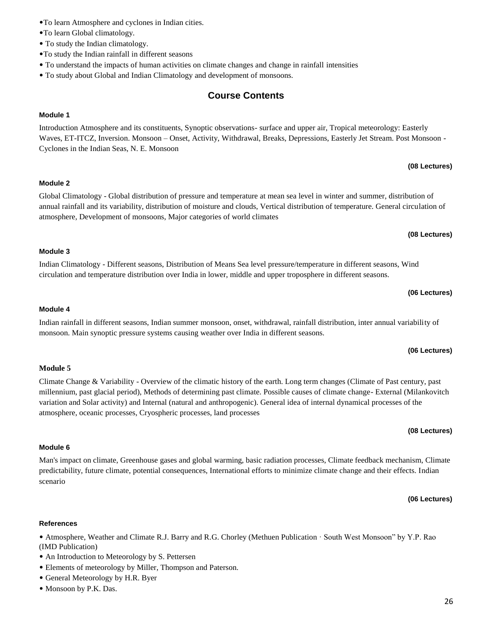# **(08 Lectures)**

# **(08 Lectures)**

**(06 Lectures)**

circulation and temperature distribution over India in lower, middle and upper troposphere in different seasons.

# **Module 4**

Indian rainfall in different seasons, Indian summer monsoon, onset, withdrawal, rainfall distribution, inter annual variability of monsoon. Main synoptic pressure systems causing weather over India in different seasons.

# **(06 Lectures)**

# **Module 5**

Climate Change & Variability - Overview of the climatic history of the earth. Long term changes (Climate of Past century, past millennium, past glacial period), Methods of determining past climate. Possible causes of climate change- External (Milankovitch variation and Solar activity) and Internal (natural and anthropogenic). General idea of internal dynamical processes of the atmosphere, oceanic processes, Cryospheric processes, land processes

# **Module 6**

Man's impact on climate, Greenhouse gases and global warming, basic radiation processes, Climate feedback mechanism, Climate predictability, future climate, potential consequences, International efforts to minimize climate change and their effects. Indian scenario

# **(06 Lectures)**

**(08 Lectures)**

# **References**

• Atmosphere, Weather and Climate R.J. Barry and R.G. Chorley (Methuen Publication · South West Monsoon" by Y.P. Rao (IMD Publication)

- An Introduction to Meteorology by S. Pettersen
- Elements of meteorology by Miller, Thompson and Paterson.
- General Meteorology by H.R. Byer
- Monsoon by P.K. Das.

# •To learn Atmosphere and cyclones in Indian cities.

- •To learn Global climatology.
- To study the Indian climatology.
- •To study the Indian rainfall in different seasons
- To understand the impacts of human activities on climate changes and change in rainfall intensities
- To study about Global and Indian Climatology and development of monsoons.

# **Course Contents**

# **Module 1**

Introduction Atmosphere and its constituents, Synoptic observations- surface and upper air, Tropical meteorology: Easterly Waves, ET-ITCZ, Inversion. Monsoon – Onset, Activity, Withdrawal, Breaks, Depressions, Easterly Jet Stream. Post Monsoon - Cyclones in the Indian Seas, N. E. Monsoon

# **Module 2**

Global Climatology - Global distribution of pressure and temperature at mean sea level in winter and summer, distribution of annual rainfall and its variability, distribution of moisture and clouds, Vertical distribution of temperature. General circulation of atmosphere, Development of monsoons, Major categories of world climates

# **Module 3**

Indian Climatology - Different seasons, Distribution of Means Sea level pressure/temperature in different seasons, Wind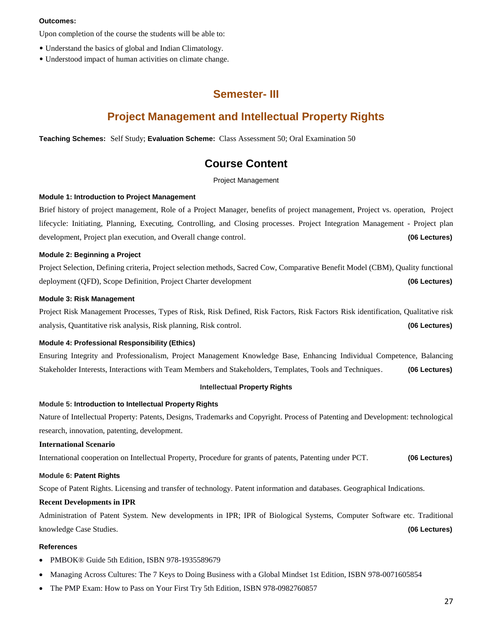#### **Outcomes:**

Upon completion of the course the students will be able to:

- Understand the basics of global and Indian Climatology.
- Understood impact of human activities on climate change.

# **Semester- III**

# **Project Management and Intellectual Property Rights**

**Teaching Schemes:** Self Study; **Evaluation Scheme:** Class Assessment 50; Oral Examination 50

# **Course Content**

Project Management

### **Module 1: Introduction to Project Management**

Brief history of project management, Role of a Project Manager, benefits of project management, Project vs. operation, Project lifecycle: Initiating, Planning, Executing, Controlling, and Closing processes. Project Integration Management - Project plan development, Project plan execution, and Overall change control. **(06 Lectures)**

#### **Module 2: Beginning a Project**

Project Selection, Defining criteria, Project selection methods, Sacred Cow, Comparative Benefit Model (CBM), Quality functional deployment (QFD), Scope Definition, Project Charter development **(06 Lectures)**

### **Module 3: Risk Management**

Project Risk Management Processes, Types of Risk, Risk Defined, Risk Factors, Risk Factors Risk identification, Qualitative risk analysis, Quantitative risk analysis, Risk planning, Risk control. **(06 Lectures)**

### **Module 4: Professional Responsibility (Ethics)**

Ensuring Integrity and Professionalism, Project Management Knowledge Base, Enhancing Individual Competence, Balancing Stakeholder Interests, Interactions with Team Members and Stakeholders, Templates, Tools and Techniques. **(06 Lectures)**

#### **Intellectual Property Rights**

#### **Module 5: Introduction to Intellectual Property Rights**

Nature of Intellectual Property: Patents, Designs, Trademarks and Copyright. Process of Patenting and Development: technological research, innovation, patenting, development.

### **International Scenario**

International cooperation on Intellectual Property, Procedure for grants of patents, Patenting under PCT. **(06 Lectures)**

#### **Module 6: Patent Rights**

Scope of Patent Rights. Licensing and transfer of technology. Patent information and databases. Geographical Indications.

#### **Recent Developments in IPR**

Administration of Patent System. New developments in IPR; IPR of Biological Systems, Computer Software etc. Traditional knowledge Case Studies. **(06 Lectures)**

#### **References**

- PMBOK® Guide 5th Edition, ISBN 978-1935589679
- Managing Across Cultures: The 7 Keys to Doing Business with a Global Mindset 1st Edition, ISBN 978-0071605854
- The PMP Exam: How to Pass on Your First Try 5th Edition, ISBN 978-0982760857